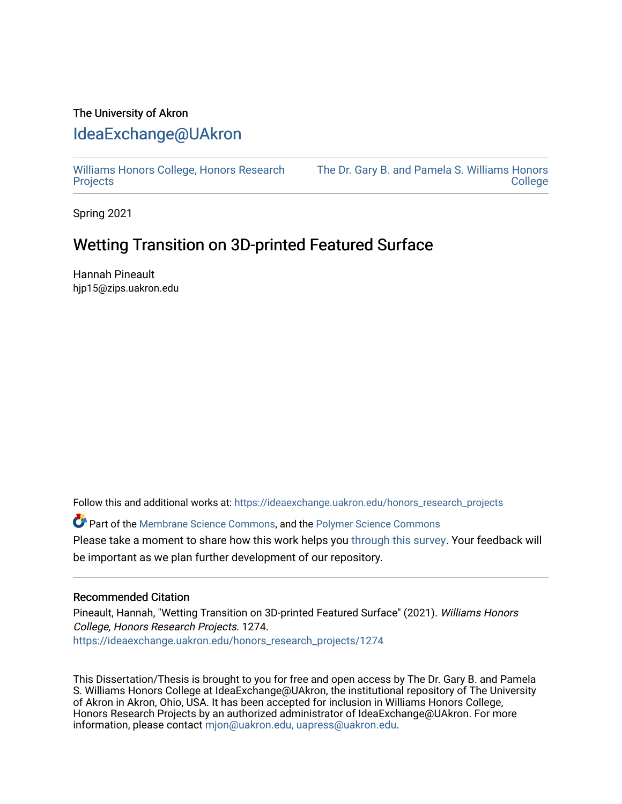# The University of Akron [IdeaExchange@UAkron](https://ideaexchange.uakron.edu/)

[Williams Honors College, Honors Research](https://ideaexchange.uakron.edu/honors_research_projects)  **[Projects](https://ideaexchange.uakron.edu/honors_research_projects)** 

[The Dr. Gary B. and Pamela S. Williams Honors](https://ideaexchange.uakron.edu/honorscollege_ideas)  [College](https://ideaexchange.uakron.edu/honorscollege_ideas) 

Spring 2021

# Wetting Transition on 3D-printed Featured Surface

Hannah Pineault hjp15@zips.uakron.edu

Follow this and additional works at: [https://ideaexchange.uakron.edu/honors\\_research\\_projects](https://ideaexchange.uakron.edu/honors_research_projects?utm_source=ideaexchange.uakron.edu%2Fhonors_research_projects%2F1274&utm_medium=PDF&utm_campaign=PDFCoverPages) 

Part of the [Membrane Science Commons](http://network.bepress.com/hgg/discipline/244?utm_source=ideaexchange.uakron.edu%2Fhonors_research_projects%2F1274&utm_medium=PDF&utm_campaign=PDFCoverPages), and the [Polymer Science Commons](http://network.bepress.com/hgg/discipline/246?utm_source=ideaexchange.uakron.edu%2Fhonors_research_projects%2F1274&utm_medium=PDF&utm_campaign=PDFCoverPages)  Please take a moment to share how this work helps you [through this survey](http://survey.az1.qualtrics.com/SE/?SID=SV_eEVH54oiCbOw05f&URL=https://ideaexchange.uakron.edu/honors_research_projects/1274). Your feedback will be important as we plan further development of our repository.

#### Recommended Citation

Pineault, Hannah, "Wetting Transition on 3D-printed Featured Surface" (2021). Williams Honors College, Honors Research Projects. 1274. [https://ideaexchange.uakron.edu/honors\\_research\\_projects/1274](https://ideaexchange.uakron.edu/honors_research_projects/1274?utm_source=ideaexchange.uakron.edu%2Fhonors_research_projects%2F1274&utm_medium=PDF&utm_campaign=PDFCoverPages) 

This Dissertation/Thesis is brought to you for free and open access by The Dr. Gary B. and Pamela S. Williams Honors College at IdeaExchange@UAkron, the institutional repository of The University of Akron in Akron, Ohio, USA. It has been accepted for inclusion in Williams Honors College, Honors Research Projects by an authorized administrator of IdeaExchange@UAkron. For more information, please contact [mjon@uakron.edu, uapress@uakron.edu.](mailto:mjon@uakron.edu,%20uapress@uakron.edu)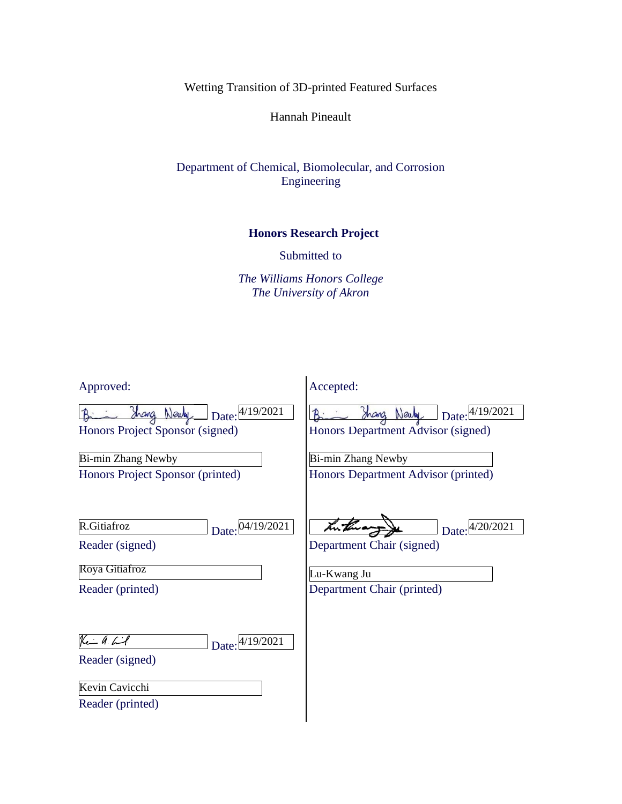Wetting Transition of 3D-printed Featured Surfaces

Hannah Pineault

Department of Chemical, Biomolecular, and Corrosion Engineering

# **Honors Research Project**

Submitted to

*The Williams Honors College The University of Akron*

| Approved:                                                                                 | Accepted:                                                                                 |
|-------------------------------------------------------------------------------------------|-------------------------------------------------------------------------------------------|
| Shang Newly Date: 4/19/2021<br>Honors Project Sponsor (signed)                            | $\log_{10}(4/19/2021)$<br>Shang Newly<br>Honors Department Advisor (signed)               |
| Bi-min Zhang Newby<br>Honors Project Sponsor (printed)                                    | Bi-min Zhang Newby<br>Honors Department Advisor (printed)                                 |
| R.Gitiafroz<br>Date: 04/19/2021<br>Reader (signed)<br>Roya Gitiafroz<br>Reader (printed)  | Date: 4/20/2021<br>Department Chair (signed)<br>Lu-Kwang Ju<br>Department Chair (printed) |
| لمخت اله اسکا<br>Date: 4/19/2021<br>Reader (signed)<br>Kevin Cavicchi<br>Reader (printed) |                                                                                           |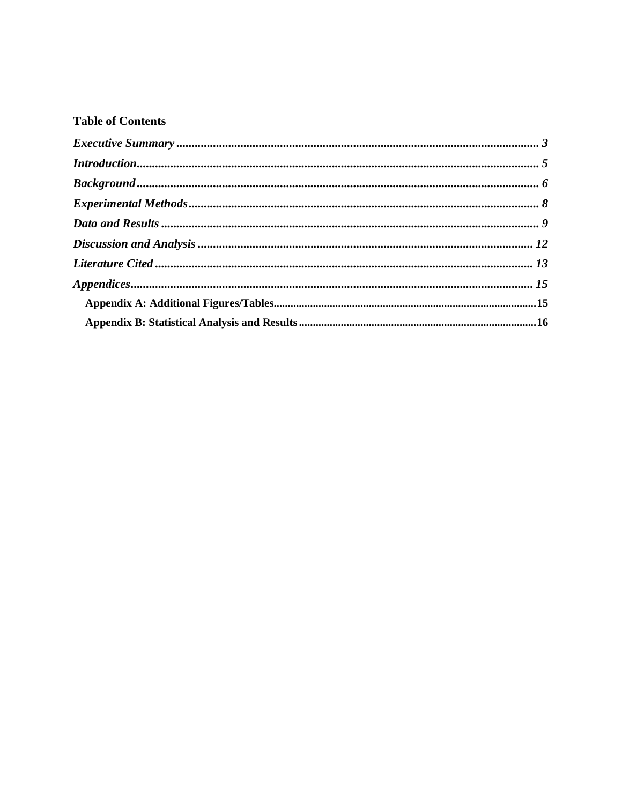# **Table of Contents**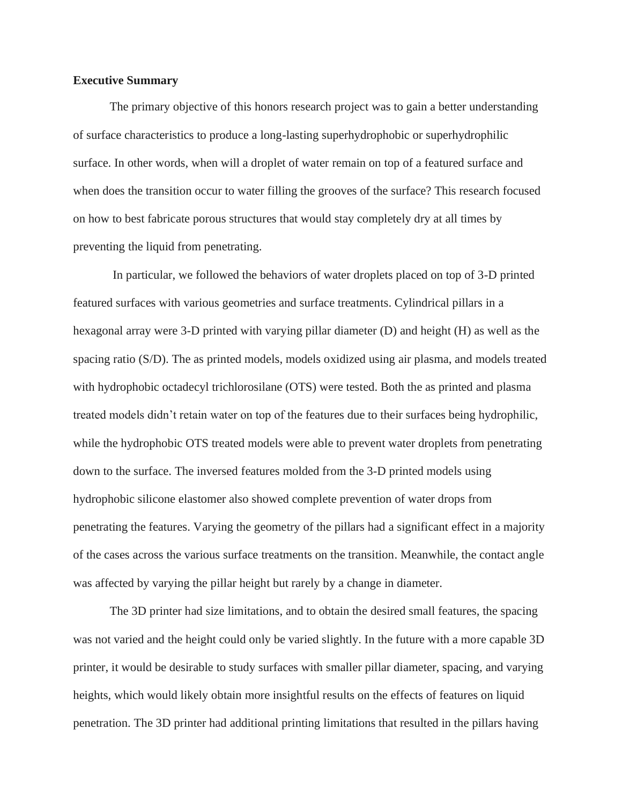#### <span id="page-3-0"></span>**Executive Summary**

The primary objective of this honors research project was to gain a better understanding of surface characteristics to produce a long-lasting superhydrophobic or superhydrophilic surface. In other words, when will a droplet of water remain on top of a featured surface and when does the transition occur to water filling the grooves of the surface? This research focused on how to best fabricate porous structures that would stay completely dry at all times by preventing the liquid from penetrating.

In particular, we followed the behaviors of water droplets placed on top of 3-D printed featured surfaces with various geometries and surface treatments. Cylindrical pillars in a hexagonal array were 3-D printed with varying pillar diameter (D) and height (H) as well as the spacing ratio (S/D). The as printed models, models oxidized using air plasma, and models treated with hydrophobic octadecyl trichlorosilane (OTS) were tested. Both the as printed and plasma treated models didn't retain water on top of the features due to their surfaces being hydrophilic, while the hydrophobic OTS treated models were able to prevent water droplets from penetrating down to the surface. The inversed features molded from the 3-D printed models using hydrophobic silicone elastomer also showed complete prevention of water drops from penetrating the features. Varying the geometry of the pillars had a significant effect in a majority of the cases across the various surface treatments on the transition. Meanwhile, the contact angle was affected by varying the pillar height but rarely by a change in diameter.

The 3D printer had size limitations, and to obtain the desired small features, the spacing was not varied and the height could only be varied slightly. In the future with a more capable 3D printer, it would be desirable to study surfaces with smaller pillar diameter, spacing, and varying heights, which would likely obtain more insightful results on the effects of features on liquid penetration. The 3D printer had additional printing limitations that resulted in the pillars having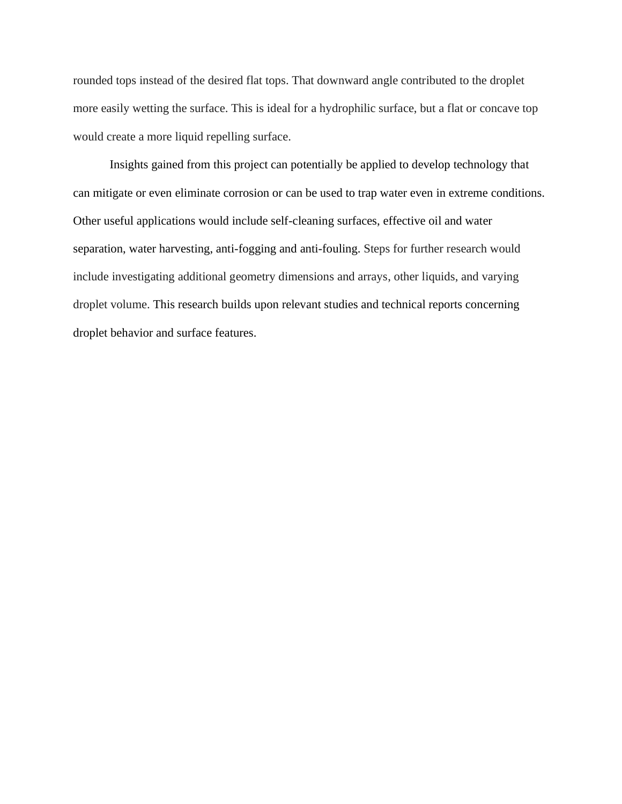rounded tops instead of the desired flat tops. That downward angle contributed to the droplet more easily wetting the surface. This is ideal for a hydrophilic surface, but a flat or concave top would create a more liquid repelling surface.

Insights gained from this project can potentially be applied to develop technology that can mitigate or even eliminate corrosion or can be used to trap water even in extreme conditions. Other useful applications would include self-cleaning surfaces, effective oil and water separation, water harvesting, anti-fogging and anti-fouling. Steps for further research would include investigating additional geometry dimensions and arrays, other liquids, and varying droplet volume. This research builds upon relevant studies and technical reports concerning droplet behavior and surface features.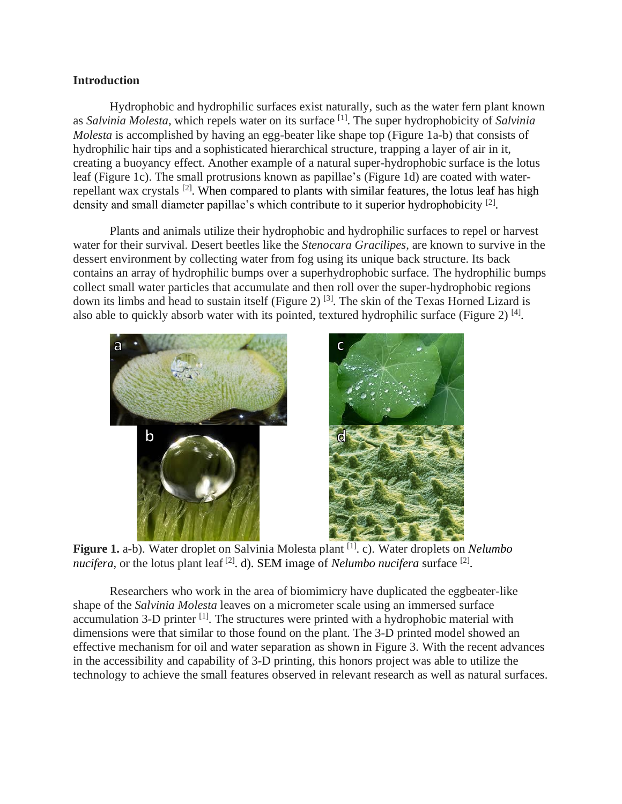#### <span id="page-5-0"></span>**Introduction**

Hydrophobic and hydrophilic surfaces exist naturally, such as the water fern plant known as *Salvinia Molesta*, which repels water on its surface [1] . The super hydrophobicity of *Salvinia Molesta* is accomplished by having an egg-beater like shape top (Figure 1a-b) that consists of hydrophilic hair tips and a sophisticated hierarchical structure, trapping a layer of air in it, creating a buoyancy effect. Another example of a natural super-hydrophobic surface is the lotus leaf (Figure 1c). The small protrusions known as papillae's (Figure 1d) are coated with waterrepellant wax crystals <sup>[2]</sup>. When compared to plants with similar features, the lotus leaf has high density and small diameter papillae's which contribute to it superior hydrophobicity [2].

Plants and animals utilize their hydrophobic and hydrophilic surfaces to repel or harvest water for their survival. Desert beetles like the *Stenocara Gracilipes*, are known to survive in the dessert environment by collecting water from fog using its unique back structure. Its back contains an array of hydrophilic bumps over a superhydrophobic surface. The hydrophilic bumps collect small water particles that accumulate and then roll over the super-hydrophobic regions down its limbs and head to sustain itself (Figure 2)<sup>[3]</sup>. The skin of the Texas Horned Lizard is also able to quickly absorb water with its pointed, textured hydrophilic surface (Figure 2)<sup>[4]</sup>.



Figure 1. a-b). Water droplet on Salvinia Molesta plant [1]. c). Water droplets on *Nelumbo* nucifera, or the lotus plant leaf<sup>[2]</sup>. d). SEM image of *Nelumbo nucifera* surface<sup>[2]</sup>.

Researchers who work in the area of biomimicry have duplicated the eggbeater-like shape of the *Salvinia Molesta* leaves on a micrometer scale using an immersed surface accumulation 3-D printer <sup>[1]</sup>. The structures were printed with a hydrophobic material with dimensions were that similar to those found on the plant. The 3-D printed model showed an effective mechanism for oil and water separation as shown in Figure 3. With the recent advances in the accessibility and capability of 3-D printing, this honors project was able to utilize the technology to achieve the small features observed in relevant research as well as natural surfaces.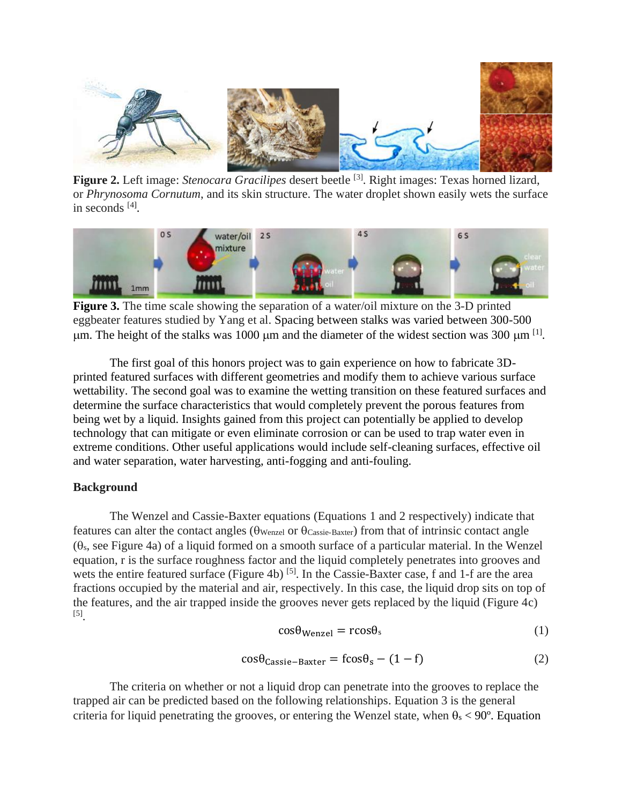

**Figure 2.** Left image: *Stenocara Gracilipes* desert beetle [3] . Right images: Texas horned lizard, or *Phrynosoma Cornutum*, and its skin structure. The water droplet shown easily wets the surface in seconds [4] .



**Figure 3.** The time scale showing the separation of a water/oil mixture on the 3-D printed eggbeater features studied by Yang et al. Spacing between stalks was varied between 300-500  $\mu$ m. The height of the stalks was 1000  $\mu$ m and the diameter of the widest section was 300  $\mu$ m <sup>[1]</sup>.

The first goal of this honors project was to gain experience on how to fabricate 3Dprinted featured surfaces with different geometries and modify them to achieve various surface wettability. The second goal was to examine the wetting transition on these featured surfaces and determine the surface characteristics that would completely prevent the porous features from being wet by a liquid. Insights gained from this project can potentially be applied to develop technology that can mitigate or even eliminate corrosion or can be used to trap water even in extreme conditions. Other useful applications would include self-cleaning surfaces, effective oil and water separation, water harvesting, anti-fogging and anti-fouling.

### <span id="page-6-0"></span>**Background**

The Wenzel and Cassie-Baxter equations (Equations 1 and 2 respectively) indicate that features can alter the contact angles ( $\theta$ Wenzel or  $\theta$ Cassie-Baxter) from that of intrinsic contact angle  $(\theta_s, \text{see Figure 4a})$  of a liquid formed on a smooth surface of a particular material. In the Wenzel equation, r is the surface roughness factor and the liquid completely penetrates into grooves and wets the entire featured surface (Figure 4b)<sup>[5]</sup>. In the Cassie-Baxter case, f and 1-f are the area fractions occupied by the material and air, respectively. In this case, the liquid drop sits on top of the features, and the air trapped inside the grooves never gets replaced by the liquid (Figure 4c) [5] .

$$
\cos \theta_{\text{Wenzel}} = \text{rcos} \theta_{\text{s}} \tag{1}
$$

$$
\cos\theta_{\text{Cassie}-\text{Baster}} = \text{fcos}\theta_{\text{s}} - (1 - f) \tag{2}
$$

The criteria on whether or not a liquid drop can penetrate into the grooves to replace the trapped air can be predicted based on the following relationships. Equation 3 is the general criteria for liquid penetrating the grooves, or entering the Wenzel state, when  $\theta_s < 90^\circ$ . Equation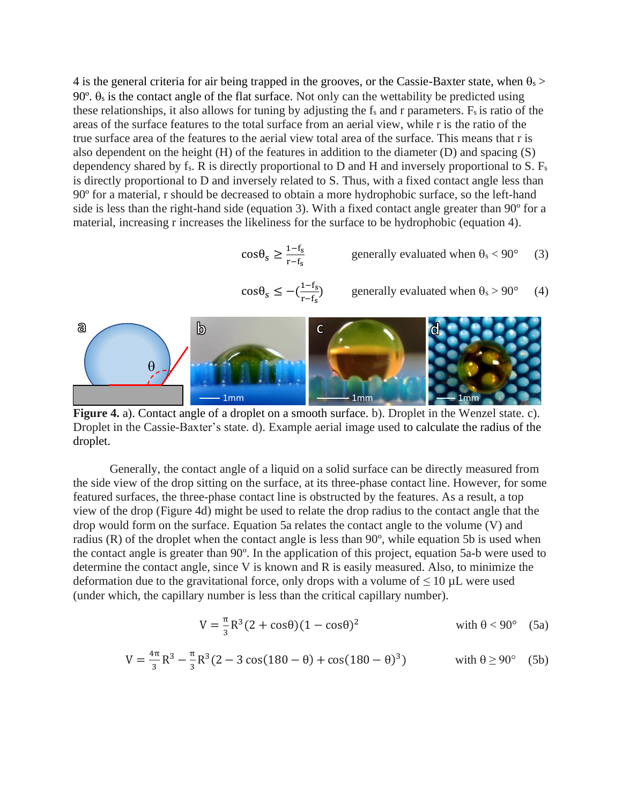4 is the general criteria for air being trapped in the grooves, or the Cassie-Baxter state, when  $\theta_s$ 90 $\degree$ .  $\theta_s$  is the contact angle of the flat surface. Not only can the wettability be predicted using these relationships, it also allows for tuning by adjusting the  $f_s$  and r parameters.  $F_s$  is ratio of the areas of the surface features to the total surface from an aerial view, while r is the ratio of the true surface area of the features to the aerial view total area of the surface. This means that r is also dependent on the height (H) of the features in addition to the diameter (D) and spacing (S) dependency shared by fs. R is directly proportional to D and H and inversely proportional to S. F<sup>s</sup> is directly proportional to D and inversely related to S. Thus, with a fixed contact angle less than 90º for a material, r should be decreased to obtain a more hydrophobic surface, so the left-hand side is less than the right-hand side (equation 3). With a fixed contact angle greater than 90º for a material, increasing r increases the likeliness for the surface to be hydrophobic (equation 4).

$$
\cos \theta_{s} \ge \frac{1 - f_{s}}{r - f_{s}} \qquad \qquad \text{generally evaluated when } \theta_{s} < 90^{\circ} \qquad (3)
$$

$$
\cos \theta_{s} \le -\left(\frac{1-f_{s}}{r-f_{s}}\right) \qquad \text{generally evaluated when } \theta_{s} > 90^{\circ} \qquad (4)
$$



**Figure 4.** a). Contact angle of a droplet on a smooth surface. b). Droplet in the Wenzel state. c). Droplet in the Cassie-Baxter's state. d). Example aerial image used to calculate the radius of the droplet.

Generally, the contact angle of a liquid on a solid surface can be directly measured from the side view of the drop sitting on the surface, at its three-phase contact line. However, for some featured surfaces, the three-phase contact line is obstructed by the features. As a result, a top view of the drop (Figure 4d) might be used to relate the drop radius to the contact angle that the drop would form on the surface. Equation 5a relates the contact angle to the volume (V) and radius (R) of the droplet when the contact angle is less than 90º, while equation 5b is used when the contact angle is greater than 90º. In the application of this project, equation 5a-b were used to determine the contact angle, since V is known and R is easily measured. Also, to minimize the deformation due to the gravitational force, only drops with a volume of  $\leq 10 \mu L$  were used (under which, the capillary number is less than the critical capillary number).

$$
V = \frac{\pi}{3}R^3(2 + \cos\theta)(1 - \cos\theta)^2
$$
 with  $\theta < 90^\circ$  (5a)

$$
V = \frac{4\pi}{3}R^3 - \frac{\pi}{3}R^3(2 - 3\cos(180 - \theta) + \cos(180 - \theta)^3)
$$
 with  $\theta \ge 90^\circ$  (5b)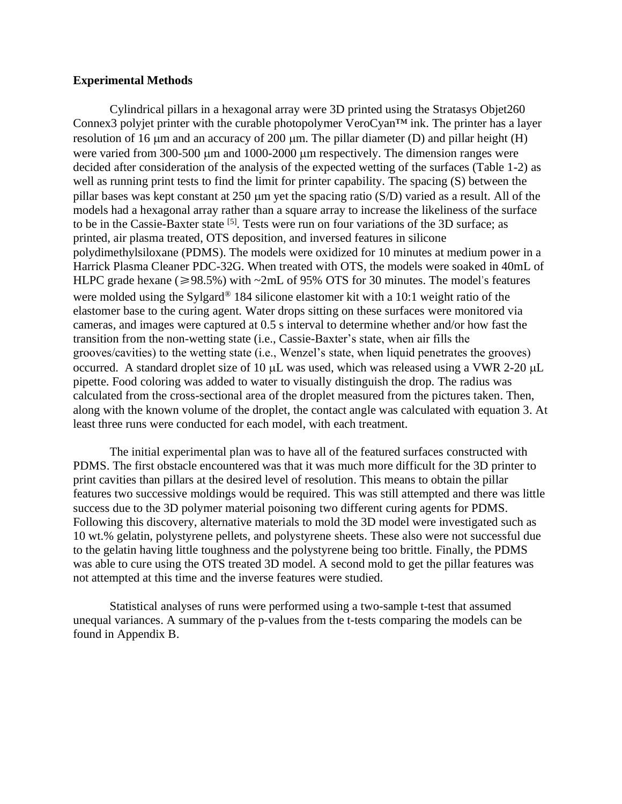#### <span id="page-8-0"></span>**Experimental Methods**

Cylindrical pillars in a hexagonal array were 3D printed using the Stratasys Objet260 Connex3 polyjet printer with the curable photopolymer VeroCyan™ ink. The printer has a layer resolution of 16  $\mu$ m and an accuracy of 200  $\mu$ m. The pillar diameter (D) and pillar height (H) were varied from 300-500  $\mu$ m and 1000-2000  $\mu$ m respectively. The dimension ranges were decided after consideration of the analysis of the expected wetting of the surfaces (Table 1-2) as well as running print tests to find the limit for printer capability. The spacing (S) between the pillar bases was kept constant at  $250 \mu m$  yet the spacing ratio (S/D) varied as a result. All of the models had a hexagonal array rather than a square array to increase the likeliness of the surface to be in the Cassie-Baxter state <sup>[5]</sup>. Tests were run on four variations of the 3D surface; as printed, air plasma treated, OTS deposition, and inversed features in silicone polydimethylsiloxane (PDMS). The models were oxidized for 10 minutes at medium power in a Harrick Plasma Cleaner PDC-32G. When treated with OTS, the models were soaked in 40mL of HLPC grade hexane ( $\geq 98.5\%$ ) with ~2mL of 95% OTS for 30 minutes. The model's features were molded using the Sylgard® 184 silicone elastomer kit with a 10:1 weight ratio of the elastomer base to the curing agent. Water drops sitting on these surfaces were monitored via cameras, and images were captured at 0.5 s interval to determine whether and/or how fast the transition from the non-wetting state (i.e., Cassie-Baxter's state, when air fills the grooves/cavities) to the wetting state (i.e., Wenzel's state, when liquid penetrates the grooves) occurred. A standard droplet size of 10  $\mu$ L was used, which was released using a VWR 2-20  $\mu$ L pipette. Food coloring was added to water to visually distinguish the drop. The radius was calculated from the cross-sectional area of the droplet measured from the pictures taken. Then, along with the known volume of the droplet, the contact angle was calculated with equation 3. At least three runs were conducted for each model, with each treatment.

The initial experimental plan was to have all of the featured surfaces constructed with PDMS. The first obstacle encountered was that it was much more difficult for the 3D printer to print cavities than pillars at the desired level of resolution. This means to obtain the pillar features two successive moldings would be required. This was still attempted and there was little success due to the 3D polymer material poisoning two different curing agents for PDMS. Following this discovery, alternative materials to mold the 3D model were investigated such as 10 wt.% gelatin, polystyrene pellets, and polystyrene sheets. These also were not successful due to the gelatin having little toughness and the polystyrene being too brittle. Finally, the PDMS was able to cure using the OTS treated 3D model. A second mold to get the pillar features was not attempted at this time and the inverse features were studied.

Statistical analyses of runs were performed using a two-sample t-test that assumed unequal variances. A summary of the p-values from the t-tests comparing the models can be found in Appendix B.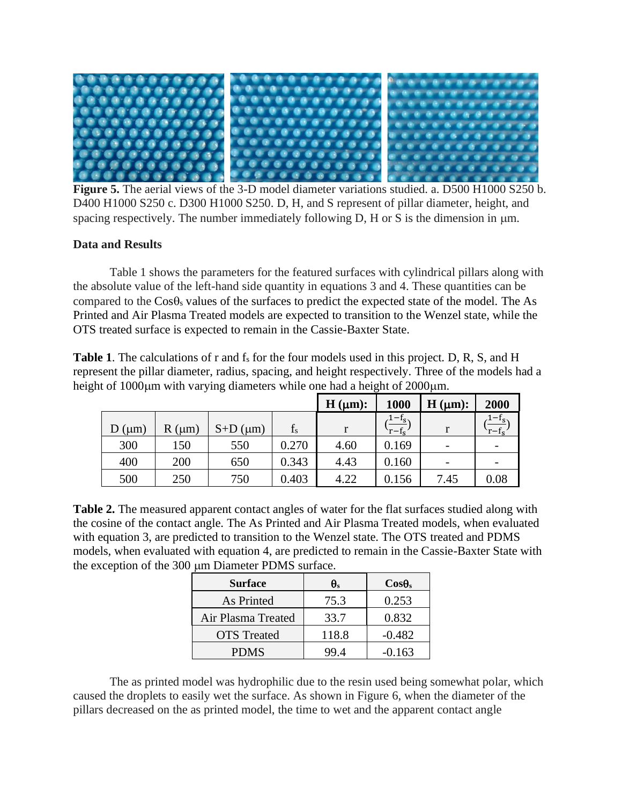

**Figure 5.** The aerial views of the 3-D model diameter variations studied. a. D500 H1000 S250 b. D400 H1000 S250 c. D300 H1000 S250. D, H, and S represent of pillar diameter, height, and spacing respectively. The number immediately following  $D$ ,  $H$  or  $S$  is the dimension in  $\mu$ m.

## <span id="page-9-0"></span>**Data and Results**

Table 1 shows the parameters for the featured surfaces with cylindrical pillars along with the absolute value of the left-hand side quantity in equations 3 and 4. These quantities can be compared to the  $Cos\theta_s$  values of the surfaces to predict the expected state of the model. The As Printed and Air Plasma Treated models are expected to transition to the Wenzel state, while the OTS treated surface is expected to remain in the Cassie-Baxter State.

Table 1. The calculations of r and f<sub>s</sub> for the four models used in this project. D, R, S, and H represent the pillar diameter, radius, spacing, and height respectively. Three of the models had a height of 1000um with varying diameters while one had a height of 2000um.

|                  |                  |                  |       | H (µm): | 1000                 | H (µm): | 2000    |
|------------------|------------------|------------------|-------|---------|----------------------|---------|---------|
| $D \text{ (µm)}$ | $R \text{ (µm)}$ | $S+D$ ( $\mu$ m) | $f_s$ |         | $1-f_s$<br>$r - f_s$ |         | $1-f_s$ |
| 300              | 150              | 550              | 0.270 | 4.60    | 0.169                |         | -       |
| 400              | 200              | 650              | 0.343 | 4.43    | 0.160                |         |         |
| 500              | 250              | 750              | 0.403 | 4.22    | 0.156                | 7.45    | 0.08    |

**Table 2.** The measured apparent contact angles of water for the flat surfaces studied along with the cosine of the contact angle. The As Printed and Air Plasma Treated models, when evaluated with equation 3, are predicted to transition to the Wenzel state. The OTS treated and PDMS models, when evaluated with equation 4, are predicted to remain in the Cassie-Baxter State with the exception of the 300 µm Diameter PDMS surface.

| <b>Surface</b>     | $\theta_{s}$ | $\bf{Cos}\theta_s$ |
|--------------------|--------------|--------------------|
| As Printed         | 75.3         | 0.253              |
| Air Plasma Treated | 33.7         | 0.832              |
| <b>OTS</b> Treated | 118.8        | $-0.482$           |
| <b>PDMS</b>        | 99 4         | $-0.163$           |

The as printed model was hydrophilic due to the resin used being somewhat polar, which caused the droplets to easily wet the surface. As shown in Figure 6, when the diameter of the pillars decreased on the as printed model, the time to wet and the apparent contact angle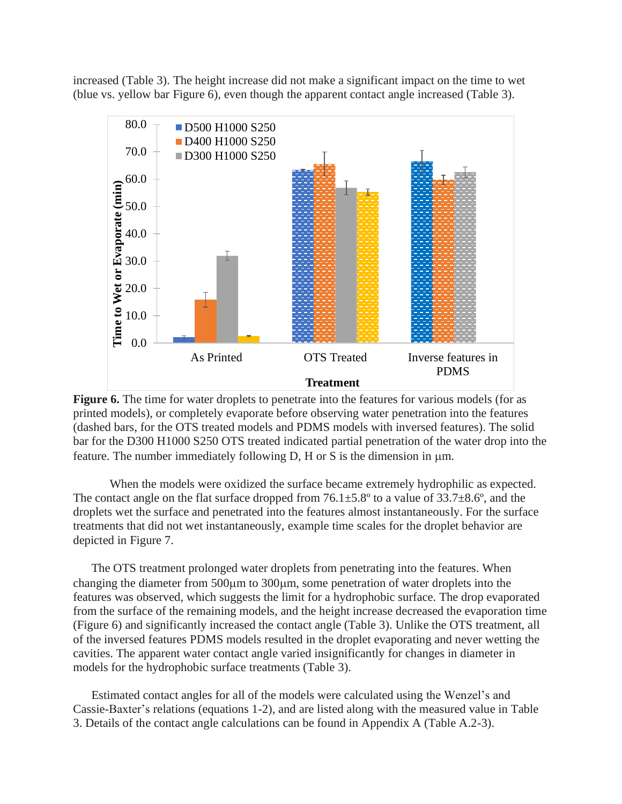increased (Table 3). The height increase did not make a significant impact on the time to wet (blue vs. yellow bar Figure 6), even though the apparent contact angle increased (Table 3).





When the models were oxidized the surface became extremely hydrophilic as expected. The contact angle on the flat surface dropped from  $76.1\pm5.8^{\circ}$  to a value of  $33.7\pm8.6^{\circ}$ , and the droplets wet the surface and penetrated into the features almost instantaneously. For the surface treatments that did not wet instantaneously, example time scales for the droplet behavior are depicted in Figure 7.

The OTS treatment prolonged water droplets from penetrating into the features. When changing the diameter from  $500\mu$ m to  $300\mu$ m, some penetration of water droplets into the features was observed, which suggests the limit for a hydrophobic surface. The drop evaporated from the surface of the remaining models, and the height increase decreased the evaporation time (Figure 6) and significantly increased the contact angle (Table 3). Unlike the OTS treatment, all of the inversed features PDMS models resulted in the droplet evaporating and never wetting the cavities. The apparent water contact angle varied insignificantly for changes in diameter in models for the hydrophobic surface treatments (Table 3).

Estimated contact angles for all of the models were calculated using the Wenzel's and Cassie-Baxter's relations (equations 1-2), and are listed along with the measured value in Table 3. Details of the contact angle calculations can be found in Appendix A (Table A.2-3).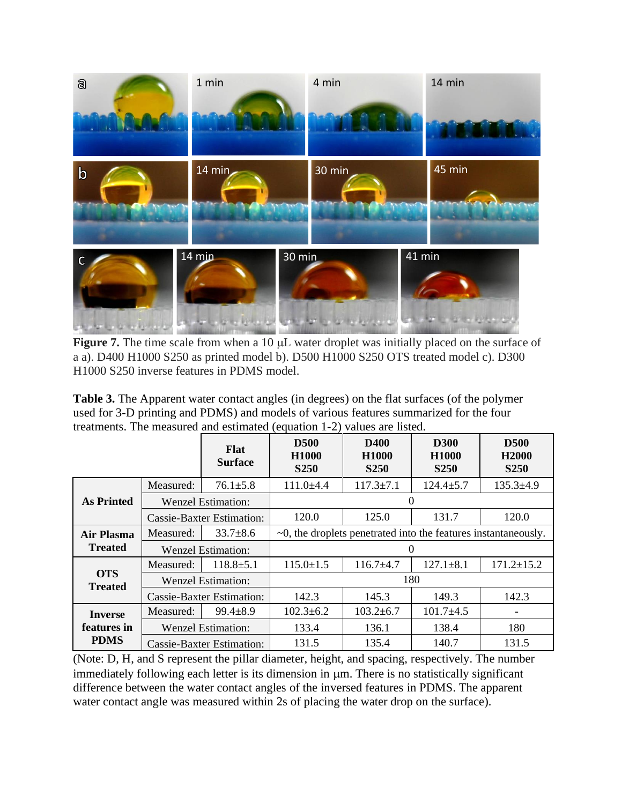

Figure 7. The time scale from when a 10  $\mu$ L water droplet was initially placed on the surface of a a). D400 H1000 S250 as printed model b). D500 H1000 S250 OTS treated model c). D300 H1000 S250 inverse features in PDMS model.

**Table 3.** The Apparent water contact angles (in degrees) on the flat surfaces (of the polymer used for 3-D printing and PDMS) and models of various features summarized for the four treatments. The measured and estimated (equation 1-2) values are listed.

|                                  |           | <b>Flat</b><br><b>Surface</b> | <b>D500</b><br><b>H1000</b><br><b>S250</b>                            | <b>D400</b><br>H1000<br><b>S250</b> | <b>D300</b><br><b>H1000</b><br><b>S250</b> | <b>D500</b><br>H <sub>2000</sub><br><b>S250</b> |  |
|----------------------------------|-----------|-------------------------------|-----------------------------------------------------------------------|-------------------------------------|--------------------------------------------|-------------------------------------------------|--|
|                                  | Measured: | $76.1 \pm 5.8$                | $111.0 \pm 4.4$                                                       | $117.3 \pm 7.1$                     | $124.4 \pm 5.7$                            | $135.3 \pm 4.9$                                 |  |
| <b>As Printed</b>                |           | <b>Wenzel Estimation:</b>     |                                                                       |                                     | 0                                          |                                                 |  |
|                                  |           | Cassie-Baxter Estimation:     | 120.0                                                                 | 125.0                               | 131.7                                      | 120.0                                           |  |
| Measured:<br><b>Air Plasma</b>   |           | $33.7 + 8.6$                  | $\sim 0$ , the droplets penetrated into the features instantaneously. |                                     |                                            |                                                 |  |
| <b>Treated</b>                   |           | <b>Wenzel Estimation:</b>     | $\Omega$                                                              |                                     |                                            |                                                 |  |
|                                  | Measured: | $118.8 \pm 5.1$               | $115.0 \pm 1.5$                                                       | $116.7 + 4.7$                       | $127.1 + 8.1$                              | $171.2 \pm 15.2$                                |  |
| <b>OTS</b><br><b>Treated</b>     |           | Wenzel Estimation:            |                                                                       |                                     | 180                                        |                                                 |  |
| <b>Cassie-Baxter Estimation:</b> |           |                               | 142.3                                                                 | 145.3                               | 149.3                                      | 142.3                                           |  |
| <b>Inverse</b>                   | Measured: | $99.4 \pm 8.9$                | $102.3 \pm 6.2$                                                       | $103.2 \pm 6.7$                     | $101.7 \pm 4.5$                            |                                                 |  |
| features in                      |           | <b>Wenzel Estimation:</b>     | 133.4                                                                 | 136.1                               | 138.4                                      | 180                                             |  |
| <b>PDMS</b>                      |           | Cassie-Baxter Estimation:     | 131.5                                                                 | 135.4                               | 140.7                                      | 131.5                                           |  |

(Note: D, H, and S represent the pillar diameter, height, and spacing, respectively. The number immediately following each letter is its dimension in  $\mu$ m. There is no statistically significant difference between the water contact angles of the inversed features in PDMS. The apparent water contact angle was measured within 2s of placing the water drop on the surface).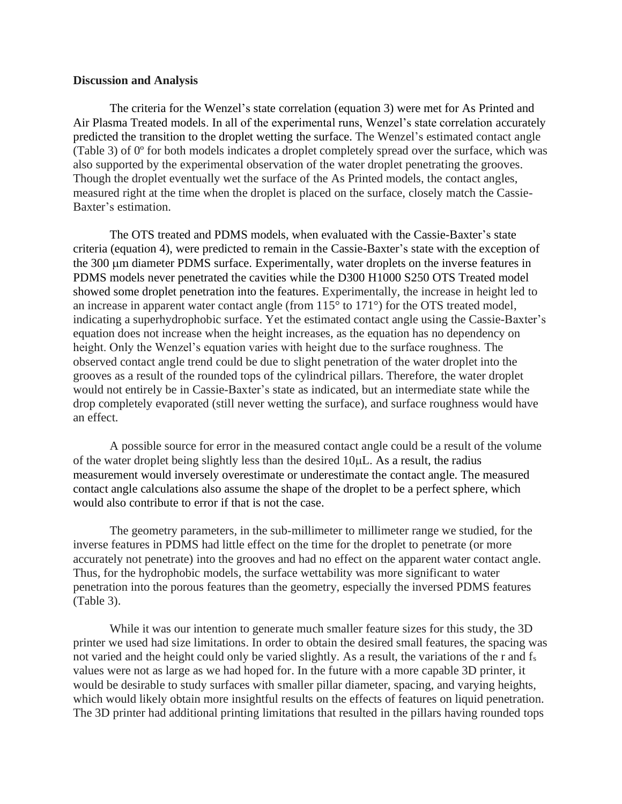#### <span id="page-12-0"></span>**Discussion and Analysis**

The criteria for the Wenzel's state correlation (equation 3) were met for As Printed and Air Plasma Treated models. In all of the experimental runs, Wenzel's state correlation accurately predicted the transition to the droplet wetting the surface. The Wenzel's estimated contact angle (Table 3) of 0º for both models indicates a droplet completely spread over the surface, which was also supported by the experimental observation of the water droplet penetrating the grooves. Though the droplet eventually wet the surface of the As Printed models, the contact angles, measured right at the time when the droplet is placed on the surface, closely match the Cassie-Baxter's estimation.

The OTS treated and PDMS models, when evaluated with the Cassie-Baxter's state criteria (equation 4), were predicted to remain in the Cassie-Baxter's state with the exception of the 300 µm diameter PDMS surface. Experimentally, water droplets on the inverse features in PDMS models never penetrated the cavities while the D300 H1000 S250 OTS Treated model showed some droplet penetration into the features. Experimentally, the increase in height led to an increase in apparent water contact angle (from 115° to 171°) for the OTS treated model, indicating a superhydrophobic surface. Yet the estimated contact angle using the Cassie-Baxter's equation does not increase when the height increases, as the equation has no dependency on height. Only the Wenzel's equation varies with height due to the surface roughness. The observed contact angle trend could be due to slight penetration of the water droplet into the grooves as a result of the rounded tops of the cylindrical pillars. Therefore, the water droplet would not entirely be in Cassie-Baxter's state as indicated, but an intermediate state while the drop completely evaporated (still never wetting the surface), and surface roughness would have an effect.

A possible source for error in the measured contact angle could be a result of the volume of the water droplet being slightly less than the desired  $10\mu L$ . As a result, the radius measurement would inversely overestimate or underestimate the contact angle. The measured contact angle calculations also assume the shape of the droplet to be a perfect sphere, which would also contribute to error if that is not the case.

The geometry parameters, in the sub-millimeter to millimeter range we studied, for the inverse features in PDMS had little effect on the time for the droplet to penetrate (or more accurately not penetrate) into the grooves and had no effect on the apparent water contact angle. Thus, for the hydrophobic models, the surface wettability was more significant to water penetration into the porous features than the geometry, especially the inversed PDMS features (Table 3).

While it was our intention to generate much smaller feature sizes for this study, the 3D printer we used had size limitations. In order to obtain the desired small features, the spacing was not varied and the height could only be varied slightly. As a result, the variations of the r and f<sup>s</sup> values were not as large as we had hoped for. In the future with a more capable 3D printer, it would be desirable to study surfaces with smaller pillar diameter, spacing, and varying heights, which would likely obtain more insightful results on the effects of features on liquid penetration. The 3D printer had additional printing limitations that resulted in the pillars having rounded tops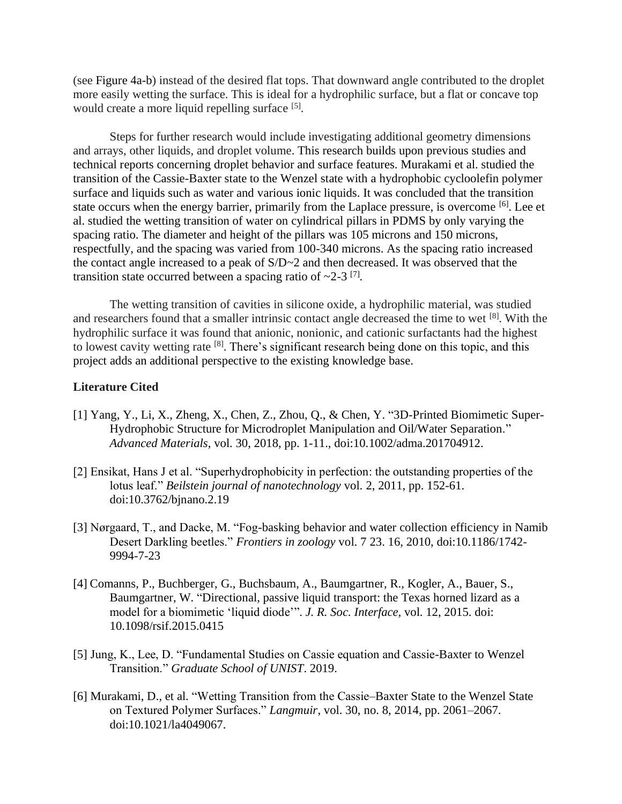(see Figure 4a-b) instead of the desired flat tops. That downward angle contributed to the droplet more easily wetting the surface. This is ideal for a hydrophilic surface, but a flat or concave top would create a more liquid repelling surface [5].

Steps for further research would include investigating additional geometry dimensions and arrays, other liquids, and droplet volume. This research builds upon previous studies and technical reports concerning droplet behavior and surface features. Murakami et al. studied the transition of the Cassie-Baxter state to the Wenzel state with a hydrophobic cycloolefin polymer surface and liquids such as water and various ionic liquids. It was concluded that the transition state occurs when the energy barrier, primarily from the Laplace pressure, is overcome <sup>[6]</sup>. Lee et al. studied the wetting transition of water on cylindrical pillars in PDMS by only varying the spacing ratio. The diameter and height of the pillars was 105 microns and 150 microns, respectfully, and the spacing was varied from 100-340 microns. As the spacing ratio increased the contact angle increased to a peak of S/D~2 and then decreased. It was observed that the transition state occurred between a spacing ratio of  $\sim$ 2-3<sup>[7]</sup>.

The wetting transition of cavities in silicone oxide, a hydrophilic material, was studied and researchers found that a smaller intrinsic contact angle decreased the time to wet [8]. With the hydrophilic surface it was found that anionic, nonionic, and cationic surfactants had the highest to lowest cavity wetting rate <sup>[8]</sup>. There's significant research being done on this topic, and this project adds an additional perspective to the existing knowledge base.

#### <span id="page-13-0"></span>**Literature Cited**

- [1] Yang, Y., Li, X., Zheng, X., Chen, Z., Zhou, Q., & Chen, Y. "3D-Printed Biomimetic Super-Hydrophobic Structure for Microdroplet Manipulation and Oil/Water Separation." *Advanced Materials*, vol. 30, 2018, pp. 1-11., doi:10.1002/adma.201704912.
- [2] Ensikat, Hans J et al. "Superhydrophobicity in perfection: the outstanding properties of the lotus leaf." *Beilstein journal of nanotechnology* vol. 2, 2011, pp. 152-61. doi:10.3762/bjnano.2.19
- [3] Nørgaard, T., and Dacke, M. "Fog-basking behavior and water collection efficiency in Namib Desert Darkling beetles." *Frontiers in zoology* vol. 7 23. 16, 2010, doi:10.1186/1742- 9994-7-23
- [4] Comanns, P., Buchberger, G., Buchsbaum, A., Baumgartner, R., Kogler, A., Bauer, S., Baumgartner, W. "Directional, passive liquid transport: the Texas horned lizard as a model for a biomimetic 'liquid diode'". *J. R. Soc. Interface,* vol. 12, 2015. doi: 10.1098/rsif.2015.0415
- [5] Jung, K., Lee, D. "Fundamental Studies on Cassie equation and Cassie-Baxter to Wenzel Transition." *Graduate School of UNIST*. 2019.
- [6] Murakami, D., et al. "Wetting Transition from the Cassie–Baxter State to the Wenzel State on Textured Polymer Surfaces." *Langmuir*, vol. 30, no. 8, 2014, pp. 2061–2067. doi:10.1021/la4049067.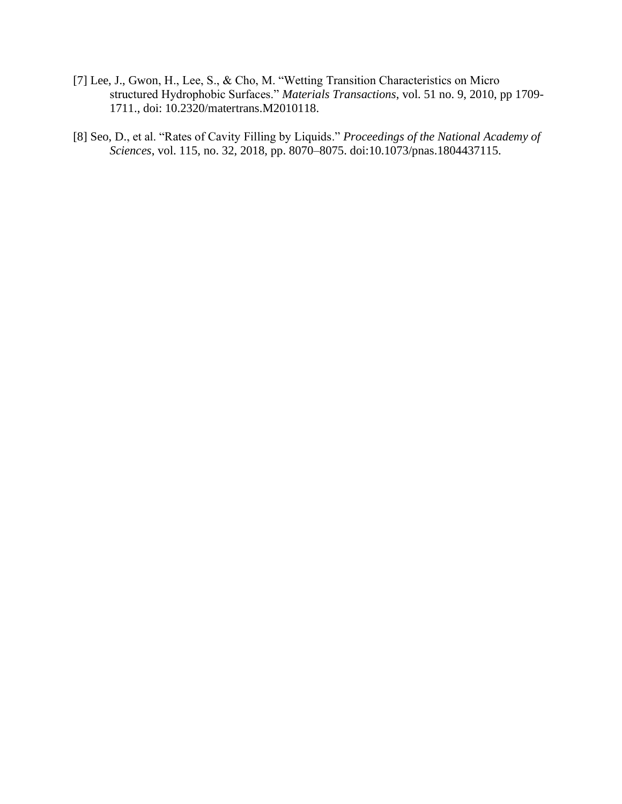- [7] Lee, J., Gwon, H., Lee, S., & Cho, M. "Wetting Transition Characteristics on Micro structured Hydrophobic Surfaces." *Materials Transactions*, vol. 51 no. 9, 2010, pp 1709- 1711., doi: 10.2320/matertrans.M2010118.
- [8] Seo, D., et al. "Rates of Cavity Filling by Liquids." *Proceedings of the National Academy of Sciences*, vol. 115, no. 32, 2018, pp. 8070–8075. doi:10.1073/pnas.1804437115.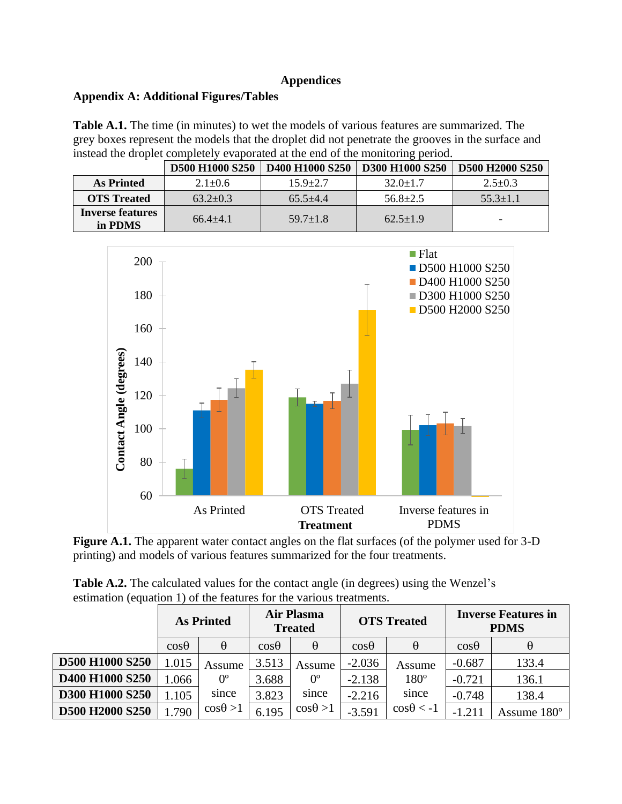## **Appendices**

# <span id="page-15-1"></span><span id="page-15-0"></span>**Appendix A: Additional Figures/Tables**

**Table A.1.** The time (in minutes) to wet the models of various features are summarized. The grey boxes represent the models that the droplet did not penetrate the grooves in the surface and instead the droplet completely evaporated at the end of the monitoring period.

|                             | <b>D500 H1000 S250</b> | <b>D400 H1000 S250</b> | <b>D300 H1000 S250</b> | D500 H2000 S250 |
|-----------------------------|------------------------|------------------------|------------------------|-----------------|
| <b>As Printed</b>           | $2.1 \pm 0.6$          | $15.9 + 2.7$           | $32.0 \pm 1.7$         | $2.5 \pm 0.3$   |
| <b>OTS</b> Treated          | $63.2 \pm 0.3$         | $65.5 + 4.4$           | $56.8 \pm 2.5$         | $55.3 \pm 1.1$  |
| Inverse features<br>in PDMS | $66.4 + 4.1$           | $59.7 \pm 1.8$         | $62.5 \pm 1.9$         |                 |



**Figure A.1.** The apparent water contact angles on the flat surfaces (of the polymer used for 3-D printing) and models of various features summarized for the four treatments.

|                        |              | <b>As Printed</b> | <b>Air Plasma</b><br><b>Treated</b> |                  | <b>OTS</b> Treated |                   |              | <b>Inverse Features in</b><br><b>PDMS</b> |
|------------------------|--------------|-------------------|-------------------------------------|------------------|--------------------|-------------------|--------------|-------------------------------------------|
|                        | $\cos\theta$ | $\theta$          | $\cos\theta$                        | $\theta$         | $\cos\theta$       | $\theta$          | $\cos\theta$ |                                           |
| <b>D500 H1000 S250</b> | 1.015        | Assume            | 3.513                               | Assume           | $-2.036$           | Assume            | $-0.687$     | 133.4                                     |
| <b>D400 H1000 S250</b> | .066         | $0^{\circ}$       | 3.688                               | $0^{\circ}$      | $-2.138$           | $180^\circ$       | $-0.721$     | 136.1                                     |
| <b>D300 H1000 S250</b> | .105         | since             | 3.823                               | since            | $-2.216$           | since             | $-0.748$     | 138.4                                     |
| D500 H2000 S250        | .790         | $\cos\theta > 1$  | 6.195                               | $\cos\theta > 1$ | $-3.591$           | $\cos\theta < -1$ | $-1.211$     | Assume 180°                               |

**Table A.2.** The calculated values for the contact angle (in degrees) using the Wenzel's estimation (equation 1) of the features for the various treatments.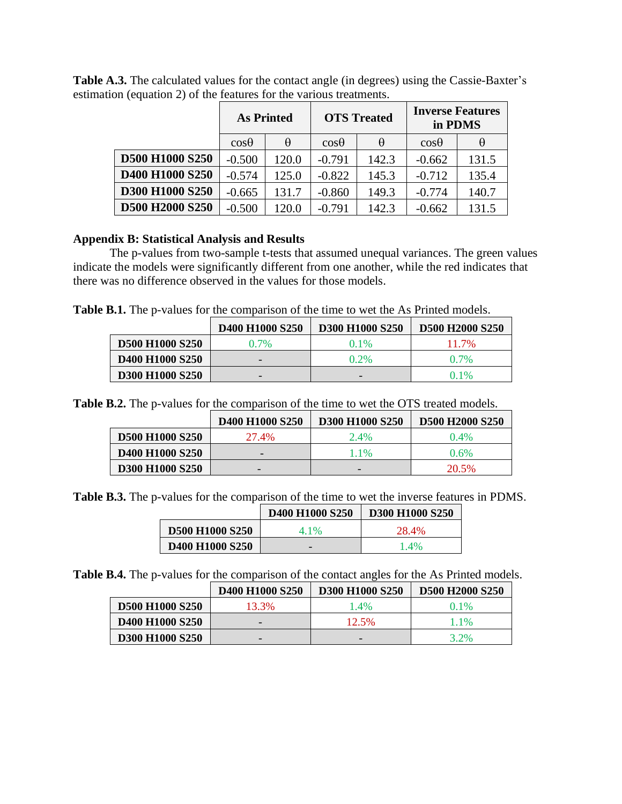|                 | <b>As Printed</b> |          | <b>OTS</b> Treated |          | <b>Inverse Features</b><br>in PDMS |          |
|-----------------|-------------------|----------|--------------------|----------|------------------------------------|----------|
|                 | $\cos\theta$      | $\theta$ | $\cos\theta$       | $\theta$ | $\cos\theta$                       | $\theta$ |
| D500 H1000 S250 | $-0.500$          | 120.0    | $-0.791$           | 142.3    | $-0.662$                           | 131.5    |
| D400 H1000 S250 | $-0.574$          | 125.0    | $-0.822$           | 145.3    | $-0.712$                           | 135.4    |
| D300 H1000 S250 | $-0.665$          | 131.7    | $-0.860$           | 149.3    | $-0.774$                           | 140.7    |
| D500 H2000 S250 | $-0.500$          | 120.0    | $-0.791$           | 142.3    | $-0.662$                           | 131.5    |

Table A.3. The calculated values for the contact angle (in degrees) using the Cassie-Baxter's estimation (equation 2) of the features for the various treatments.

### <span id="page-16-0"></span>**Appendix B: Statistical Analysis and Results**

The p-values from two-sample t-tests that assumed unequal variances. The green values indicate the models were significantly different from one another, while the red indicates that there was no difference observed in the values for those models.

**Table B.1.** The p-values for the comparison of the time to wet the As Printed models.

|                                                     | D <sub>400</sub> H <sub>1000</sub> S <sub>250</sub> | <b>D300 H1000 S250</b>   | D500 H2000 S250 |
|-----------------------------------------------------|-----------------------------------------------------|--------------------------|-----------------|
| <b>D500 H1000 S250</b>                              | $0.7\%$                                             | $0.1\%$                  | 11.7%           |
| D <sub>400</sub> H <sub>1000</sub> S <sub>250</sub> |                                                     | $0.2\%$                  | $0.7\%$         |
| D300 H1000 S250                                     |                                                     | $\overline{\phantom{0}}$ | $0.1\%$         |

**Table B.2.** The p-values for the comparison of the time to wet the OTS treated models.

|                                                     | D <sub>400</sub> H <sub>1000</sub> S <sub>250</sub> | D300 H1000 S250 | <b>D500 H2000 S250</b> |
|-----------------------------------------------------|-----------------------------------------------------|-----------------|------------------------|
| <b>D500 H1000 S250</b>                              | 27.4%                                               | 2.4%            | $0.4\%$                |
| D <sub>400</sub> H <sub>1000</sub> S <sub>250</sub> |                                                     | 1.1%            | 0.6%                   |
| D300 H1000 S250                                     | $\overline{\phantom{0}}$                            |                 | 20.5%                  |

**Table B.3.** The p-values for the comparison of the time to wet the inverse features in PDMS.

|                                                     | D <sub>400</sub> H <sub>1000</sub> S <sub>250</sub> | <b>D300 H1000 S250</b> |
|-----------------------------------------------------|-----------------------------------------------------|------------------------|
| <b>D500 H1000 S250</b>                              | 41%                                                 | 28.4%                  |
| D <sub>400</sub> H <sub>1000</sub> S <sub>250</sub> |                                                     | $1.4\%$                |

**Table B.4.** The p-values for the comparison of the contact angles for the As Printed models.

|                                                     | D <sub>400</sub> H <sub>1000</sub> S <sub>250</sub> | <b>D300 H1000 S250</b>   | D500 H2000 S250 |
|-----------------------------------------------------|-----------------------------------------------------|--------------------------|-----------------|
| <b>D500 H1000 S250</b>                              | 13.3%                                               | 1.4%                     | $0.1\%$         |
| D <sub>400</sub> H <sub>1000</sub> S <sub>250</sub> |                                                     | 12.5%                    | 1.1%            |
| D300 H1000 S250                                     |                                                     | $\overline{\phantom{0}}$ | 3.2%            |